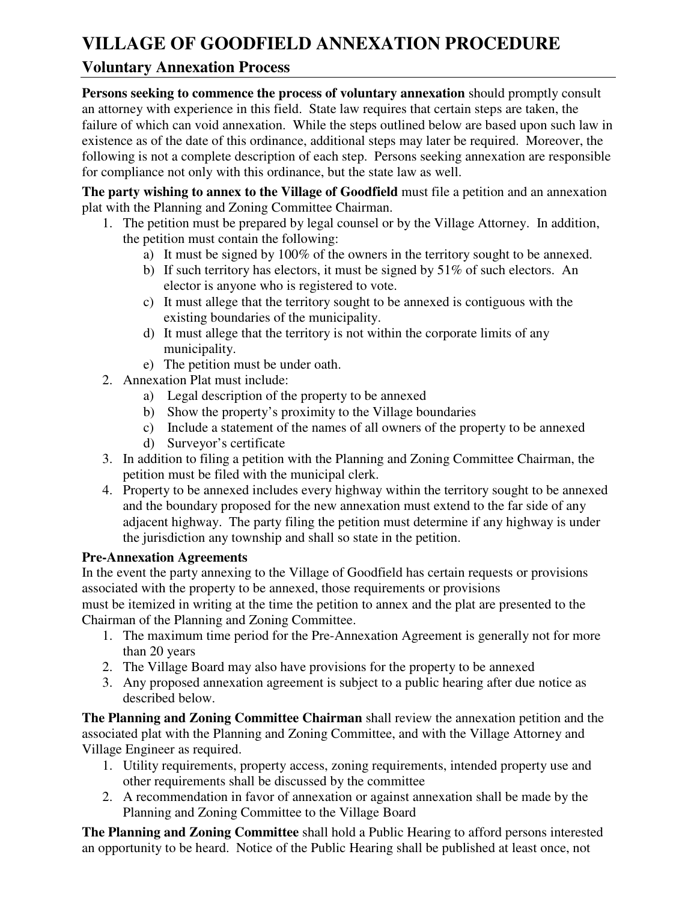# **VILLAGE OF GOODFIELD ANNEXATION PROCEDURE**

## **Voluntary Annexation Process**

**Persons seeking to commence the process of voluntary annexation** should promptly consult an attorney with experience in this field. State law requires that certain steps are taken, the failure of which can void annexation. While the steps outlined below are based upon such law in existence as of the date of this ordinance, additional steps may later be required. Moreover, the following is not a complete description of each step. Persons seeking annexation are responsible for compliance not only with this ordinance, but the state law as well.

**The party wishing to annex to the Village of Goodfield** must file a petition and an annexation plat with the Planning and Zoning Committee Chairman.

- 1. The petition must be prepared by legal counsel or by the Village Attorney. In addition, the petition must contain the following:
	- a) It must be signed by 100% of the owners in the territory sought to be annexed.
	- b) If such territory has electors, it must be signed by 51% of such electors. An elector is anyone who is registered to vote.
	- c) It must allege that the territory sought to be annexed is contiguous with the existing boundaries of the municipality.
	- d) It must allege that the territory is not within the corporate limits of any municipality.
	- e) The petition must be under oath.
- 2. Annexation Plat must include:
	- a) Legal description of the property to be annexed
	- b) Show the property's proximity to the Village boundaries
	- c) Include a statement of the names of all owners of the property to be annexed
	- d) Surveyor's certificate
- 3. In addition to filing a petition with the Planning and Zoning Committee Chairman, the petition must be filed with the municipal clerk.
- 4. Property to be annexed includes every highway within the territory sought to be annexed and the boundary proposed for the new annexation must extend to the far side of any adjacent highway. The party filing the petition must determine if any highway is under the jurisdiction any township and shall so state in the petition.

## **Pre-Annexation Agreements**

In the event the party annexing to the Village of Goodfield has certain requests or provisions associated with the property to be annexed, those requirements or provisions must be itemized in writing at the time the petition to annex and the plat are presented to the Chairman of the Planning and Zoning Committee.

- 1. The maximum time period for the Pre-Annexation Agreement is generally not for more than 20 years
- 2. The Village Board may also have provisions for the property to be annexed
- 3. Any proposed annexation agreement is subject to a public hearing after due notice as described below.

**The Planning and Zoning Committee Chairman** shall review the annexation petition and the associated plat with the Planning and Zoning Committee, and with the Village Attorney and Village Engineer as required.

- 1. Utility requirements, property access, zoning requirements, intended property use and other requirements shall be discussed by the committee
- 2. A recommendation in favor of annexation or against annexation shall be made by the Planning and Zoning Committee to the Village Board

**The Planning and Zoning Committee** shall hold a Public Hearing to afford persons interested an opportunity to be heard. Notice of the Public Hearing shall be published at least once, not